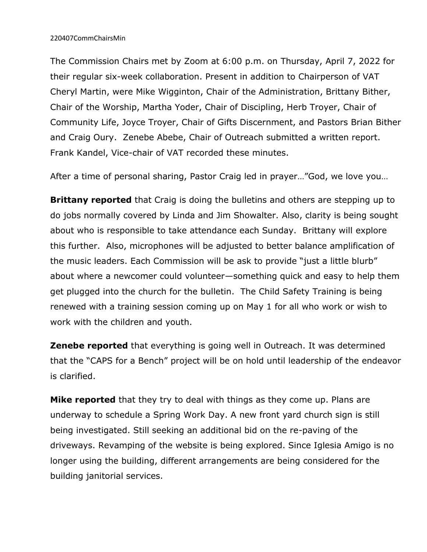## 220407CommChairsMin

The Commission Chairs met by Zoom at 6:00 p.m. on Thursday, April 7, 2022 for their regular six-week collaboration. Present in addition to Chairperson of VAT Cheryl Martin, were Mike Wigginton, Chair of the Administration, Brittany Bither, Chair of the Worship, Martha Yoder, Chair of Discipling, Herb Troyer, Chair of Community Life, Joyce Troyer, Chair of Gifts Discernment, and Pastors Brian Bither and Craig Oury. Zenebe Abebe, Chair of Outreach submitted a written report. Frank Kandel, Vice-chair of VAT recorded these minutes.

After a time of personal sharing, Pastor Craig led in prayer…"God, we love you…

**Brittany reported** that Craig is doing the bulletins and others are stepping up to do jobs normally covered by Linda and Jim Showalter. Also, clarity is being sought about who is responsible to take attendance each Sunday. Brittany will explore this further. Also, microphones will be adjusted to better balance amplification of the music leaders. Each Commission will be ask to provide "just a little blurb" about where a newcomer could volunteer—something quick and easy to help them get plugged into the church for the bulletin. The Child Safety Training is being renewed with a training session coming up on May 1 for all who work or wish to work with the children and youth.

**Zenebe reported** that everything is going well in Outreach. It was determined that the "CAPS for a Bench" project will be on hold until leadership of the endeavor is clarified.

**Mike reported** that they try to deal with things as they come up. Plans are underway to schedule a Spring Work Day. A new front yard church sign is still being investigated. Still seeking an additional bid on the re-paving of the driveways. Revamping of the website is being explored. Since Iglesia Amigo is no longer using the building, different arrangements are being considered for the building janitorial services.